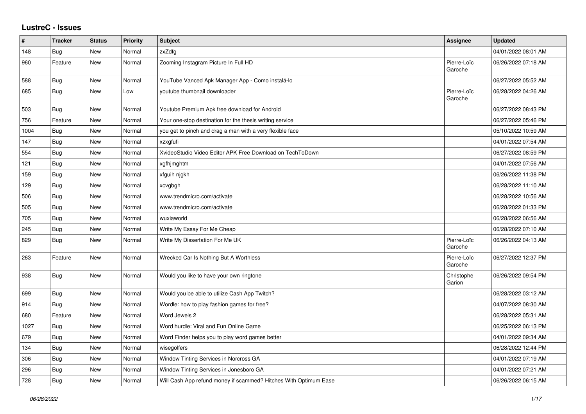## **LustreC - Issues**

| $\vert$ # | <b>Tracker</b> | <b>Status</b> | <b>Priority</b> | Subject                                                          | Assignee               | <b>Updated</b>      |
|-----------|----------------|---------------|-----------------|------------------------------------------------------------------|------------------------|---------------------|
| 148       | Bug            | <b>New</b>    | Normal          | zxZdfg                                                           |                        | 04/01/2022 08:01 AM |
| 960       | Feature        | <b>New</b>    | Normal          | Zooming Instagram Picture In Full HD                             | Pierre-Loïc<br>Garoche | 06/26/2022 07:18 AM |
| 588       | Bug            | <b>New</b>    | Normal          | YouTube Vanced Apk Manager App - Como instalá-lo                 |                        | 06/27/2022 05:52 AM |
| 685       | <b>Bug</b>     | <b>New</b>    | Low             | voutube thumbnail downloader                                     | Pierre-Loïc<br>Garoche | 06/28/2022 04:26 AM |
| 503       | <b>Bug</b>     | <b>New</b>    | Normal          | Youtube Premium Apk free download for Android                    |                        | 06/27/2022 08:43 PM |
| 756       | Feature        | <b>New</b>    | Normal          | Your one-stop destination for the thesis writing service         |                        | 06/27/2022 05:46 PM |
| 1004      | <b>Bug</b>     | <b>New</b>    | Normal          | you get to pinch and drag a man with a very flexible face        |                        | 05/10/2022 10:59 AM |
| 147       | <b>Bug</b>     | <b>New</b>    | Normal          | xzxgfufi                                                         |                        | 04/01/2022 07:54 AM |
| 554       | Bug            | <b>New</b>    | Normal          | XvideoStudio Video Editor APK Free Download on TechToDown        |                        | 06/27/2022 08:59 PM |
| 121       | Bug            | <b>New</b>    | Normal          | xgfhjmghtm                                                       |                        | 04/01/2022 07:56 AM |
| 159       | <b>Bug</b>     | <b>New</b>    | Normal          | xfguih njgkh                                                     |                        | 06/26/2022 11:38 PM |
| 129       | <b>Bug</b>     | <b>New</b>    | Normal          | xcvgbgh                                                          |                        | 06/28/2022 11:10 AM |
| 506       | <b>Bug</b>     | <b>New</b>    | Normal          | www.trendmicro.com/activate                                      |                        | 06/28/2022 10:56 AM |
| 505       | <b>Bug</b>     | <b>New</b>    | Normal          | www.trendmicro.com/activate                                      |                        | 06/28/2022 01:33 PM |
| 705       | Bug            | <b>New</b>    | Normal          | wuxiaworld                                                       |                        | 06/28/2022 06:56 AM |
| 245       | Bug            | <b>New</b>    | Normal          | Write My Essay For Me Cheap                                      |                        | 06/28/2022 07:10 AM |
| 829       | <b>Bug</b>     | New           | Normal          | Write My Dissertation For Me UK                                  | Pierre-Loïc<br>Garoche | 06/26/2022 04:13 AM |
| 263       | Feature        | <b>New</b>    | Normal          | Wrecked Car Is Nothing But A Worthless                           | Pierre-Loïc<br>Garoche | 06/27/2022 12:37 PM |
| 938       | Bug            | <b>New</b>    | Normal          | Would you like to have your own ringtone                         | Christophe<br>Garion   | 06/26/2022 09:54 PM |
| 699       | <b>Bug</b>     | <b>New</b>    | Normal          | Would you be able to utilize Cash App Twitch?                    |                        | 06/28/2022 03:12 AM |
| 914       | <b>Bug</b>     | <b>New</b>    | Normal          | Wordle: how to play fashion games for free?                      |                        | 04/07/2022 08:30 AM |
| 680       | Feature        | <b>New</b>    | Normal          | Word Jewels 2                                                    |                        | 06/28/2022 05:31 AM |
| 1027      | <b>Bug</b>     | <b>New</b>    | Normal          | Word hurdle: Viral and Fun Online Game                           |                        | 06/25/2022 06:13 PM |
| 679       | <b>Bug</b>     | New           | Normal          | Word Finder helps you to play word games better                  |                        | 04/01/2022 09:34 AM |
| 134       | <b>Bug</b>     | <b>New</b>    | Normal          | wisegolfers                                                      |                        | 06/28/2022 12:44 PM |
| 306       | Bug            | New           | Normal          | Window Tinting Services in Norcross GA                           |                        | 04/01/2022 07:19 AM |
| 296       | Bug            | <b>New</b>    | Normal          | Window Tinting Services in Jonesboro GA                          |                        | 04/01/2022 07:21 AM |
| 728       | Bug            | New           | Normal          | Will Cash App refund money if scammed? Hitches With Optimum Ease |                        | 06/26/2022 06:15 AM |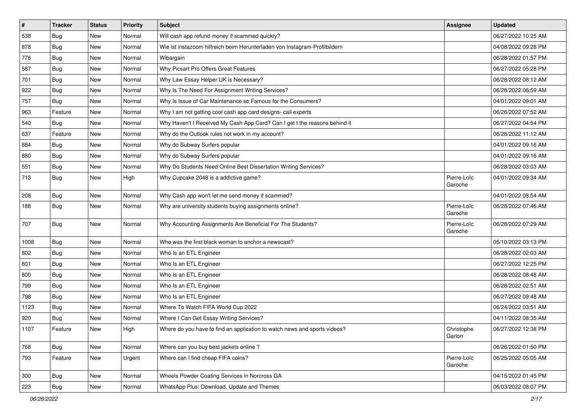| $\sharp$ | <b>Tracker</b> | <b>Status</b> | <b>Priority</b> | Subject                                                                    | <b>Assignee</b>        | <b>Updated</b>      |
|----------|----------------|---------------|-----------------|----------------------------------------------------------------------------|------------------------|---------------------|
| 538      | <b>Bug</b>     | New           | Normal          | Will cash app refund money if scammed quickly?                             |                        | 06/27/2022 10:25 AM |
| 878      | <b>Bug</b>     | <b>New</b>    | Normal          | Wie ist instazoom hilfreich beim Herunterladen von Instagram-Profilbildern |                        | 04/08/2022 09:28 PM |
| 776      | <b>Bug</b>     | New           | Normal          | Wibargain                                                                  |                        | 06/28/2022 01:57 PM |
| 587      | <b>Bug</b>     | <b>New</b>    | Normal          | Why Picsart Pro Offers Great Features                                      |                        | 06/27/2022 05:28 PM |
| 701      | <b>Bug</b>     | New           | Normal          | Why Law Essay Helper UK is Necessary?                                      |                        | 06/28/2022 08:12 AM |
| 922      | <b>Bug</b>     | New           | Normal          | Why Is The Need For Assignment Writing Services?                           |                        | 06/28/2022 06:59 AM |
| 757      | <b>Bug</b>     | New           | Normal          | Why Is Issue of Car Maintenance so Famous for the Consumers?               |                        | 04/01/2022 09:01 AM |
| 963      | Feature        | New           | Normal          | Why I am not getting cool cash app card designs- call experts              |                        | 06/26/2022 07:52 AM |
| 540      | <b>Bug</b>     | New           | Normal          | Why Haven't I Received My Cash App Card? Can I get t the reasons behind it |                        | 06/27/2022 04:54 PM |
| 637      | Feature        | New           | Normal          | Why do the Outlook rules not work in my account?                           |                        | 06/28/2022 11:12 AM |
| 884      | <b>Bug</b>     | New           | Normal          | Why do Subway Surfers popular                                              |                        | 04/01/2022 09:16 AM |
| 880      | Bug            | New           | Normal          | Why do Subway Surfers popular                                              |                        | 04/01/2022 09:16 AM |
| 551      | <b>Bug</b>     | New           | Normal          | Why Do Students Need Online Best Dissertation Writing Services?            |                        | 06/28/2022 03:03 AM |
| 713      | <b>Bug</b>     | New           | High            | Why Cupcake 2048 is a addictive game?                                      | Pierre-Loïc<br>Garoche | 04/01/2022 09:34 AM |
| 208      | Bug            | New           | Normal          | Why Cash app won't let me send money if scammed?                           |                        | 04/01/2022 08:54 AM |
| 188      | <b>Bug</b>     | New           | Normal          | Why are university students buying assignments online?                     | Pierre-Loïc<br>Garoche | 06/28/2022 07:46 AM |
| 707      | Bug            | New           | Normal          | Why Accounting Assignments Are Beneficial For The Students?                | Pierre-Loïc<br>Garoche | 06/28/2022 07:29 AM |
| 1008     | Bug            | <b>New</b>    | Normal          | Who was the first black woman to anchor a newscast?                        |                        | 05/10/2022 03:13 PM |
| 802      | <b>Bug</b>     | New           | Normal          | Who Is an ETL Engineer                                                     |                        | 06/28/2022 02:03 AM |
| 801      | Bug            | <b>New</b>    | Normal          | Who Is an ETL Engineer                                                     |                        | 06/27/2022 12:25 PM |
| 800      | Bug            | New           | Normal          | Who Is an ETL Engineer                                                     |                        | 06/28/2022 08:48 AM |
| 799      | <b>Bug</b>     | New           | Normal          | Who Is an ETL Engineer                                                     |                        | 06/28/2022 02:51 AM |
| 798      | Bug            | New           | Normal          | Who Is an ETL Engineer                                                     |                        | 06/27/2022 09:48 AM |
| 1123     | <b>Bug</b>     | New           | Normal          | Where To Watch FIFA World Cup 2022                                         |                        | 06/24/2022 03:51 AM |
| 920      | <b>Bug</b>     | New           | Normal          | Where I Can Get Essay Writing Services?                                    |                        | 04/11/2022 08:35 AM |
| 1107     | Feature        | New           | High            | Where do you have to find an application to watch news and sports videos?  | Christophe<br>Garion   | 06/27/2022 12:38 PM |
| 768      | <b>Bug</b>     | New           | Normal          | Where can you buy best jackets online?                                     |                        | 06/26/2022 01:50 PM |
| 793      | Feature        | New           | Urgent          | Where can I find cheap FIFA coins?                                         | Pierre-Loïc<br>Garoche | 06/25/2022 05:05 AM |
| 300      | <b>Bug</b>     | New           | Normal          | Wheels Powder Coating Services in Norcross GA                              |                        | 04/15/2022 01:45 PM |
| 223      | Bug            | New           | Normal          | WhatsApp Plus: Download, Update and Themes                                 |                        | 06/03/2022 08:07 PM |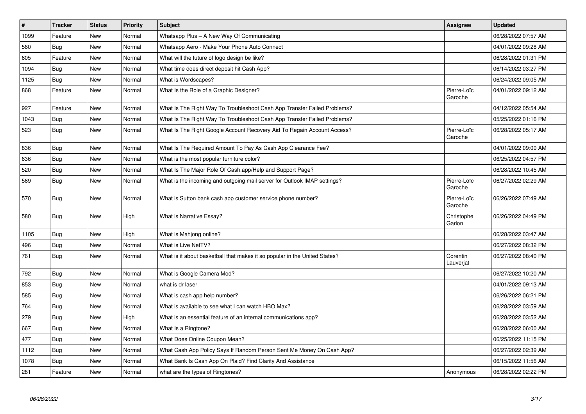| $\vert$ # | <b>Tracker</b> | <b>Status</b> | <b>Priority</b> | <b>Subject</b>                                                             | Assignee               | <b>Updated</b>      |
|-----------|----------------|---------------|-----------------|----------------------------------------------------------------------------|------------------------|---------------------|
| 1099      | Feature        | New           | Normal          | Whatsapp Plus - A New Way Of Communicating                                 |                        | 06/28/2022 07:57 AM |
| 560       | <b>Bug</b>     | <b>New</b>    | Normal          | Whatsapp Aero - Make Your Phone Auto Connect                               |                        | 04/01/2022 09:28 AM |
| 605       | Feature        | <b>New</b>    | Normal          | What will the future of logo design be like?                               |                        | 06/28/2022 01:31 PM |
| 1094      | Bug            | <b>New</b>    | Normal          | What time does direct deposit hit Cash App?                                |                        | 06/14/2022 03:27 PM |
| 1125      | Bug            | <b>New</b>    | Normal          | What is Wordscapes?                                                        |                        | 06/24/2022 09:05 AM |
| 868       | Feature        | New           | Normal          | What Is the Role of a Graphic Designer?                                    | Pierre-Loïc<br>Garoche | 04/01/2022 09:12 AM |
| 927       | Feature        | <b>New</b>    | Normal          | What Is The Right Way To Troubleshoot Cash App Transfer Failed Problems?   |                        | 04/12/2022 05:54 AM |
| 1043      | <b>Bug</b>     | <b>New</b>    | Normal          | What Is The Right Way To Troubleshoot Cash App Transfer Failed Problems?   |                        | 05/25/2022 01:16 PM |
| 523       | Bug            | New           | Normal          | What Is The Right Google Account Recovery Aid To Regain Account Access?    | Pierre-Loïc<br>Garoche | 06/28/2022 05:17 AM |
| 836       | Bug            | <b>New</b>    | Normal          | What Is The Required Amount To Pay As Cash App Clearance Fee?              |                        | 04/01/2022 09:00 AM |
| 636       | Bug            | New           | Normal          | What is the most popular furniture color?                                  |                        | 06/25/2022 04:57 PM |
| 520       | Bug            | <b>New</b>    | Normal          | What Is The Major Role Of Cash.app/Help and Support Page?                  |                        | 06/28/2022 10:45 AM |
| 569       | Bug            | New           | Normal          | What is the incoming and outgoing mail server for Outlook IMAP settings?   | Pierre-Loïc<br>Garoche | 06/27/2022 02:29 AM |
| 570       | Bug            | New           | Normal          | What is Sutton bank cash app customer service phone number?                | Pierre-Loïc<br>Garoche | 06/26/2022 07:49 AM |
| 580       | <b>Bug</b>     | <b>New</b>    | High            | What is Narrative Essay?                                                   | Christophe<br>Garion   | 06/26/2022 04:49 PM |
| 1105      | <b>Bug</b>     | <b>New</b>    | High            | What is Mahjong online?                                                    |                        | 06/28/2022 03:47 AM |
| 496       | Bug            | <b>New</b>    | Normal          | What is Live NetTV?                                                        |                        | 06/27/2022 08:32 PM |
| 761       | Bug            | <b>New</b>    | Normal          | What is it about basketball that makes it so popular in the United States? | Corentin<br>Lauverjat  | 06/27/2022 08:40 PM |
| 792       | Bug            | New           | Normal          | What is Google Camera Mod?                                                 |                        | 06/27/2022 10:20 AM |
| 853       | <b>Bug</b>     | <b>New</b>    | Normal          | what is dr laser                                                           |                        | 04/01/2022 09:13 AM |
| 585       | Bug            | <b>New</b>    | Normal          | What is cash app help number?                                              |                        | 06/26/2022 06:21 PM |
| 764       | Bug            | <b>New</b>    | Normal          | What is available to see what I can watch HBO Max?                         |                        | 06/28/2022 03:59 AM |
| 279       | <b>Bug</b>     | New           | High            | What is an essential feature of an internal communications app?            |                        | 06/28/2022 03:52 AM |
| 667       | Bug            | <b>New</b>    | Normal          | What Is a Ringtone?                                                        |                        | 06/28/2022 06:00 AM |
| 477       | Bug            | <b>New</b>    | Normal          | What Does Online Coupon Mean?                                              |                        | 06/25/2022 11:15 PM |
| 1112      | Bug            | New           | Normal          | What Cash App Policy Says If Random Person Sent Me Money On Cash App?      |                        | 06/27/2022 02:39 AM |
| 1078      | <b>Bug</b>     | New           | Normal          | What Bank Is Cash App On Plaid? Find Clarity And Assistance                |                        | 06/15/2022 11:56 AM |
| 281       | Feature        | <b>New</b>    | Normal          | what are the types of Ringtones?                                           | Anonymous              | 06/28/2022 02:22 PM |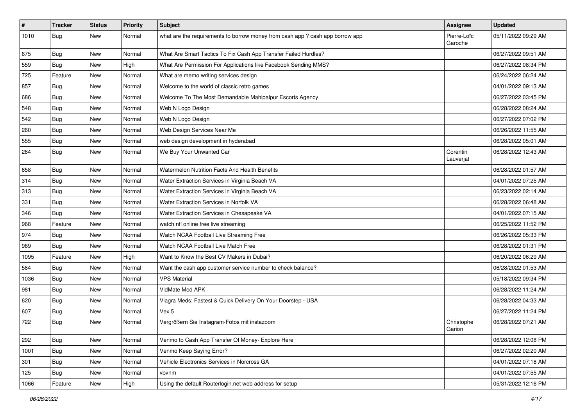| $\vert$ # | <b>Tracker</b> | <b>Status</b> | <b>Priority</b> | <b>Subject</b>                                                                | <b>Assignee</b>        | <b>Updated</b>      |
|-----------|----------------|---------------|-----------------|-------------------------------------------------------------------------------|------------------------|---------------------|
| 1010      | <b>Bug</b>     | New           | Normal          | what are the requirements to borrow money from cash app ? cash app borrow app | Pierre-Loïc<br>Garoche | 05/11/2022 09:29 AM |
| 675       | Bug            | New           | Normal          | What Are Smart Tactics To Fix Cash App Transfer Failed Hurdles?               |                        | 06/27/2022 09:51 AM |
| 559       | <b>Bug</b>     | New           | High            | What Are Permission For Applications like Facebook Sending MMS?               |                        | 06/27/2022 08:34 PM |
| 725       | Feature        | New           | Normal          | What are memo writing services design                                         |                        | 06/24/2022 06:24 AM |
| 857       | <b>Bug</b>     | New           | Normal          | Welcome to the world of classic retro games                                   |                        | 04/01/2022 09:13 AM |
| 686       | Bug            | New           | Normal          | Welcome To The Most Demandable Mahipalpur Escorts Agency                      |                        | 06/27/2022 03:45 PM |
| 548       | Bug            | New           | Normal          | Web N Logo Design                                                             |                        | 06/28/2022 08:24 AM |
| 542       | Bug            | New           | Normal          | Web N Logo Design                                                             |                        | 06/27/2022 07:02 PM |
| 260       | <b>Bug</b>     | <b>New</b>    | Normal          | Web Design Services Near Me                                                   |                        | 06/26/2022 11:55 AM |
| 555       | Bug            | New           | Normal          | web design development in hyderabad                                           |                        | 06/28/2022 05:01 AM |
| 264       | <b>Bug</b>     | New           | Normal          | We Buy Your Unwanted Car                                                      | Corentin<br>Lauverjat  | 06/28/2022 12:43 AM |
| 658       | <b>Bug</b>     | <b>New</b>    | Normal          | Watermelon Nutrition Facts And Health Benefits                                |                        | 06/28/2022 01:57 AM |
| 314       | Bug            | New           | Normal          | Water Extraction Services in Virginia Beach VA                                |                        | 04/01/2022 07:25 AM |
| 313       | Bug            | New           | Normal          | Water Extraction Services in Virginia Beach VA                                |                        | 06/23/2022 02:14 AM |
| 331       | <b>Bug</b>     | New           | Normal          | Water Extraction Services in Norfolk VA                                       |                        | 06/28/2022 06:48 AM |
| 346       | <b>Bug</b>     | New           | Normal          | Water Extraction Services in Chesapeake VA                                    |                        | 04/01/2022 07:15 AM |
| 968       | Feature        | New           | Normal          | watch nfl online free live streaming                                          |                        | 06/25/2022 11:52 PM |
| 974       | <b>Bug</b>     | New           | Normal          | Watch NCAA Football Live Streaming Free                                       |                        | 06/26/2022 05:33 PM |
| 969       | Bug            | New           | Normal          | Watch NCAA Football Live Match Free                                           |                        | 06/28/2022 01:31 PM |
| 1095      | Feature        | New           | High            | Want to Know the Best CV Makers in Dubai?                                     |                        | 06/20/2022 06:29 AM |
| 584       | <b>Bug</b>     | New           | Normal          | Want the cash app customer service number to check balance?                   |                        | 06/28/2022 01:53 AM |
| 1036      | <b>Bug</b>     | New           | Normal          | <b>VPS Material</b>                                                           |                        | 05/18/2022 09:34 PM |
| 981       | <b>Bug</b>     | New           | Normal          | VidMate Mod APK                                                               |                        | 06/28/2022 11:24 AM |
| 620       | Bug            | New           | Normal          | Viagra Meds: Fastest & Quick Delivery On Your Doorstep - USA                  |                        | 06/28/2022 04:33 AM |
| 607       | <b>Bug</b>     | New           | Normal          | Vex 5                                                                         |                        | 06/27/2022 11:24 PM |
| 722       | <b>Bug</b>     | New           | Normal          | Vergrößern Sie Instagram-Fotos mit instazoom                                  | Christophe<br>Garion   | 06/28/2022 07:21 AM |
| 292       | Bug            | New           | Normal          | Venmo to Cash App Transfer Of Money- Explore Here                             |                        | 06/28/2022 12:08 PM |
| 1001      | Bug            | New           | Normal          | Venmo Keep Saying Error?                                                      |                        | 06/27/2022 02:20 AM |
| 301       | <b>Bug</b>     | New           | Normal          | Vehicle Electronics Services in Norcross GA                                   |                        | 04/01/2022 07:18 AM |
| 125       | <b>Bug</b>     | New           | Normal          | vbvnm                                                                         |                        | 04/01/2022 07:55 AM |
| 1066      | Feature        | New           | High            | Using the default Routerlogin.net web address for setup                       |                        | 05/31/2022 12:16 PM |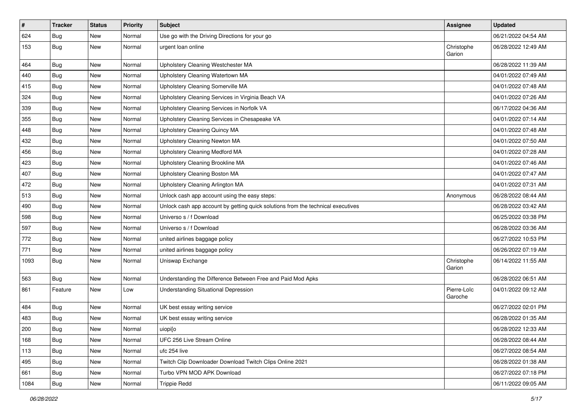| $\vert$ # | <b>Tracker</b> | <b>Status</b> | <b>Priority</b> | Subject                                                                          | <b>Assignee</b>        | <b>Updated</b>      |
|-----------|----------------|---------------|-----------------|----------------------------------------------------------------------------------|------------------------|---------------------|
| 624       | <b>Bug</b>     | New           | Normal          | Use go with the Driving Directions for your go                                   |                        | 06/21/2022 04:54 AM |
| 153       | <b>Bug</b>     | New           | Normal          | urgent loan online                                                               | Christophe<br>Garion   | 06/28/2022 12:49 AM |
| 464       | <b>Bug</b>     | <b>New</b>    | Normal          | Upholstery Cleaning Westchester MA                                               |                        | 06/28/2022 11:39 AM |
| 440       | Bug            | New           | Normal          | Upholstery Cleaning Watertown MA                                                 |                        | 04/01/2022 07:49 AM |
| 415       | Bug            | New           | Normal          | Upholstery Cleaning Somerville MA                                                |                        | 04/01/2022 07:48 AM |
| 324       | Bug            | New           | Normal          | Upholstery Cleaning Services in Virginia Beach VA                                |                        | 04/01/2022 07:26 AM |
| 339       | <b>Bug</b>     | New           | Normal          | Upholstery Cleaning Services in Norfolk VA                                       |                        | 06/17/2022 04:36 AM |
| 355       | <b>Bug</b>     | New           | Normal          | Upholstery Cleaning Services in Chesapeake VA                                    |                        | 04/01/2022 07:14 AM |
| 448       | <b>Bug</b>     | New           | Normal          | <b>Upholstery Cleaning Quincy MA</b>                                             |                        | 04/01/2022 07:48 AM |
| 432       | Bug            | New           | Normal          | Upholstery Cleaning Newton MA                                                    |                        | 04/01/2022 07:50 AM |
| 456       | <b>Bug</b>     | New           | Normal          | Upholstery Cleaning Medford MA                                                   |                        | 04/01/2022 07:28 AM |
| 423       | <b>Bug</b>     | <b>New</b>    | Normal          | Upholstery Cleaning Brookline MA                                                 |                        | 04/01/2022 07:46 AM |
| 407       | <b>Bug</b>     | New           | Normal          | Upholstery Cleaning Boston MA                                                    |                        | 04/01/2022 07:47 AM |
| 472       | <b>Bug</b>     | New           | Normal          | Upholstery Cleaning Arlington MA                                                 |                        | 04/01/2022 07:31 AM |
| 513       | Bug            | New           | Normal          | Unlock cash app account using the easy steps:                                    | Anonymous              | 06/28/2022 08:44 AM |
| 490       | <b>Bug</b>     | New           | Normal          | Unlock cash app account by getting quick solutions from the technical executives |                        | 06/28/2022 03:42 AM |
| 598       | Bug            | <b>New</b>    | Normal          | Universo s / f Download                                                          |                        | 06/25/2022 03:38 PM |
| 597       | Bug            | New           | Normal          | Universo s / f Download                                                          |                        | 06/28/2022 03:36 AM |
| 772       | <b>Bug</b>     | New           | Normal          | united airlines baggage policy                                                   |                        | 06/27/2022 10:53 PM |
| 771       | <b>Bug</b>     | New           | Normal          | united airlines baggage policy                                                   |                        | 06/26/2022 07:19 AM |
| 1093      | Bug            | New           | Normal          | Uniswap Exchange                                                                 | Christophe<br>Garion   | 06/14/2022 11:55 AM |
| 563       | Bug            | New           | Normal          | Understanding the Difference Between Free and Paid Mod Apks                      |                        | 06/28/2022 06:51 AM |
| 861       | Feature        | New           | Low             | <b>Understanding Situational Depression</b>                                      | Pierre-Loïc<br>Garoche | 04/01/2022 09:12 AM |
| 484       | <b>Bug</b>     | New           | Normal          | UK best essay writing service                                                    |                        | 06/27/2022 02:01 PM |
| 483       | Bug            | New           | Normal          | UK best essay writing service                                                    |                        | 06/28/2022 01:35 AM |
| 200       | <b>Bug</b>     | New           | Normal          | uiopi[o                                                                          |                        | 06/28/2022 12:33 AM |
| 168       | Bug            | New           | Normal          | UFC 256 Live Stream Online                                                       |                        | 06/28/2022 08:44 AM |
| 113       | <b>Bug</b>     | New           | Normal          | ufc 254 live                                                                     |                        | 06/27/2022 08:54 AM |
| 495       | <b>Bug</b>     | New           | Normal          | Twitch Clip Downloader Download Twitch Clips Online 2021                         |                        | 06/28/2022 01:38 AM |
| 661       | <b>Bug</b>     | New           | Normal          | Turbo VPN MOD APK Download                                                       |                        | 06/27/2022 07:18 PM |
| 1084      | <b>Bug</b>     | New           | Normal          | <b>Trippie Redd</b>                                                              |                        | 06/11/2022 09:05 AM |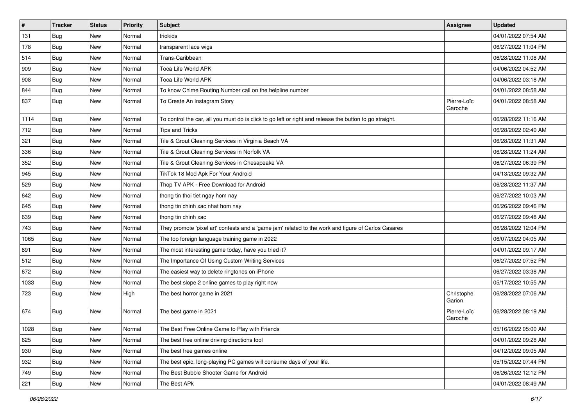| $\vert$ # | <b>Tracker</b> | <b>Status</b> | <b>Priority</b> | Subject                                                                                                 | <b>Assignee</b>        | <b>Updated</b>      |
|-----------|----------------|---------------|-----------------|---------------------------------------------------------------------------------------------------------|------------------------|---------------------|
| 131       | <b>Bug</b>     | New           | Normal          | triokids                                                                                                |                        | 04/01/2022 07:54 AM |
| 178       | Bug            | New           | Normal          | transparent lace wigs                                                                                   |                        | 06/27/2022 11:04 PM |
| 514       | <b>Bug</b>     | New           | Normal          | Trans-Caribbean                                                                                         |                        | 06/28/2022 11:08 AM |
| 909       | <b>Bug</b>     | New           | Normal          | Toca Life World APK                                                                                     |                        | 04/06/2022 04:52 AM |
| 908       | <b>Bug</b>     | New           | Normal          | Toca Life World APK                                                                                     |                        | 04/06/2022 03:18 AM |
| 844       | Bug            | New           | Normal          | To know Chime Routing Number call on the helpline number                                                |                        | 04/01/2022 08:58 AM |
| 837       | <b>Bug</b>     | New           | Normal          | To Create An Instagram Story                                                                            | Pierre-Loïc<br>Garoche | 04/01/2022 08:58 AM |
| 1114      | Bug            | New           | Normal          | To control the car, all you must do is click to go left or right and release the button to go straight. |                        | 06/28/2022 11:16 AM |
| 712       | Bug            | <b>New</b>    | Normal          | <b>Tips and Tricks</b>                                                                                  |                        | 06/28/2022 02:40 AM |
| 321       | Bug            | New           | Normal          | Tile & Grout Cleaning Services in Virginia Beach VA                                                     |                        | 06/28/2022 11:31 AM |
| 336       | <b>Bug</b>     | New           | Normal          | Tile & Grout Cleaning Services in Norfolk VA                                                            |                        | 06/28/2022 11:24 AM |
| 352       | <b>Bug</b>     | New           | Normal          | Tile & Grout Cleaning Services in Chesapeake VA                                                         |                        | 06/27/2022 06:39 PM |
| 945       | Bug            | New           | Normal          | TikTok 18 Mod Apk For Your Android                                                                      |                        | 04/13/2022 09:32 AM |
| 529       | <b>Bug</b>     | New           | Normal          | Thop TV APK - Free Download for Android                                                                 |                        | 06/28/2022 11:37 AM |
| 642       | Bug            | New           | Normal          | thong tin thoi tiet ngay hom nay                                                                        |                        | 06/27/2022 10:03 AM |
| 645       | Bug            | New           | Normal          | thong tin chinh xac nhat hom nay                                                                        |                        | 06/26/2022 09:46 PM |
| 639       | Bug            | New           | Normal          | thong tin chinh xac                                                                                     |                        | 06/27/2022 09:48 AM |
| 743       | Bug            | New           | Normal          | They promote 'pixel art' contests and a 'game jam' related to the work and figure of Carlos Casares     |                        | 06/28/2022 12:04 PM |
| 1065      | <b>Bug</b>     | New           | Normal          | The top foreign language training game in 2022                                                          |                        | 06/07/2022 04:05 AM |
| 891       | Bug            | New           | Normal          | The most interesting game today, have you tried it?                                                     |                        | 04/01/2022 09:17 AM |
| 512       | <b>Bug</b>     | New           | Normal          | The Importance Of Using Custom Writing Services                                                         |                        | 06/27/2022 07:52 PM |
| 672       | Bug            | New           | Normal          | The easiest way to delete ringtones on iPhone                                                           |                        | 06/27/2022 03:38 AM |
| 1033      | Bug            | New           | Normal          | The best slope 2 online games to play right now                                                         |                        | 05/17/2022 10:55 AM |
| 723       | <b>Bug</b>     | New           | High            | The best horror game in 2021                                                                            | Christophe<br>Garion   | 06/28/2022 07:06 AM |
| 674       | Bug            | New           | Normal          | The best game in 2021                                                                                   | Pierre-Loïc<br>Garoche | 06/28/2022 08:19 AM |
| 1028      | <b>Bug</b>     | New           | Normal          | The Best Free Online Game to Play with Friends                                                          |                        | 05/16/2022 05:00 AM |
| 625       | <b>Bug</b>     | New           | Normal          | The best free online driving directions tool                                                            |                        | 04/01/2022 09:28 AM |
| 930       | <b>Bug</b>     | New           | Normal          | The best free games online                                                                              |                        | 04/12/2022 09:05 AM |
| 932       | Bug            | New           | Normal          | The best epic, long-playing PC games will consume days of your life.                                    |                        | 05/15/2022 07:44 PM |
| 749       | Bug            | New           | Normal          | The Best Bubble Shooter Game for Android                                                                |                        | 06/26/2022 12:12 PM |
| 221       | Bug            | New           | Normal          | The Best APk                                                                                            |                        | 04/01/2022 08:49 AM |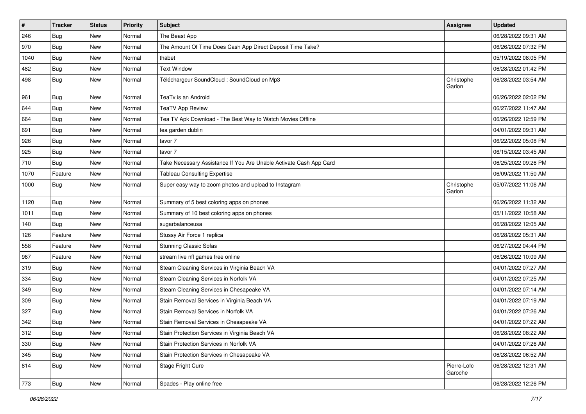| $\pmb{\#}$ | <b>Tracker</b> | <b>Status</b> | <b>Priority</b> | Subject                                                            | <b>Assignee</b>        | <b>Updated</b>      |
|------------|----------------|---------------|-----------------|--------------------------------------------------------------------|------------------------|---------------------|
| 246        | <b>Bug</b>     | New           | Normal          | The Beast App                                                      |                        | 06/28/2022 09:31 AM |
| 970        | <b>Bug</b>     | New           | Normal          | The Amount Of Time Does Cash App Direct Deposit Time Take?         |                        | 06/26/2022 07:32 PM |
| 1040       | Bug            | New           | Normal          | thabet                                                             |                        | 05/19/2022 08:05 PM |
| 482        | <b>Bug</b>     | New           | Normal          | <b>Text Window</b>                                                 |                        | 06/28/2022 01:42 PM |
| 498        | <b>Bug</b>     | New           | Normal          | Téléchargeur SoundCloud : SoundCloud en Mp3                        | Christophe<br>Garion   | 06/28/2022 03:54 AM |
| 961        | Bug            | New           | Normal          | TeaTv is an Android                                                |                        | 06/26/2022 02:02 PM |
| 644        | Bug            | New           | Normal          | <b>TeaTV App Review</b>                                            |                        | 06/27/2022 11:47 AM |
| 664        | Bug            | New           | Normal          | Tea TV Apk Download - The Best Way to Watch Movies Offline         |                        | 06/26/2022 12:59 PM |
| 691        | <b>Bug</b>     | New           | Normal          | tea garden dublin                                                  |                        | 04/01/2022 09:31 AM |
| 926        | Bug            | New           | Normal          | tavor 7                                                            |                        | 06/22/2022 05:08 PM |
| 925        | <b>Bug</b>     | New           | Normal          | tavor 7                                                            |                        | 06/15/2022 03:45 AM |
| 710        | <b>Bug</b>     | New           | Normal          | Take Necessary Assistance If You Are Unable Activate Cash App Card |                        | 06/25/2022 09:26 PM |
| 1070       | Feature        | New           | Normal          | <b>Tableau Consulting Expertise</b>                                |                        | 06/09/2022 11:50 AM |
| 1000       | Bug            | New           | Normal          | Super easy way to zoom photos and upload to Instagram              | Christophe<br>Garion   | 05/07/2022 11:06 AM |
| 1120       | <b>Bug</b>     | New           | Normal          | Summary of 5 best coloring apps on phones                          |                        | 06/26/2022 11:32 AM |
| 1011       | Bug            | New           | Normal          | Summary of 10 best coloring apps on phones                         |                        | 05/11/2022 10:58 AM |
| 140        | <b>Bug</b>     | New           | Normal          | sugarbalanceusa                                                    |                        | 06/28/2022 12:05 AM |
| 126        | Feature        | New           | Normal          | Stussy Air Force 1 replica                                         |                        | 06/28/2022 05:31 AM |
| 558        | Feature        | New           | Normal          | <b>Stunning Classic Sofas</b>                                      |                        | 06/27/2022 04:44 PM |
| 967        | Feature        | New           | Normal          | stream live nfl games free online                                  |                        | 06/26/2022 10:09 AM |
| 319        | <b>Bug</b>     | New           | Normal          | Steam Cleaning Services in Virginia Beach VA                       |                        | 04/01/2022 07:27 AM |
| 334        | <b>Bug</b>     | New           | Normal          | Steam Cleaning Services in Norfolk VA                              |                        | 04/01/2022 07:25 AM |
| 349        | <b>Bug</b>     | New           | Normal          | Steam Cleaning Services in Chesapeake VA                           |                        | 04/01/2022 07:14 AM |
| 309        | Bug            | New           | Normal          | Stain Removal Services in Virginia Beach VA                        |                        | 04/01/2022 07:19 AM |
| 327        | <b>Bug</b>     | New           | Normal          | Stain Removal Services in Norfolk VA                               |                        | 04/01/2022 07:26 AM |
| 342        | <b>Bug</b>     | New           | Normal          | Stain Removal Services in Chesapeake VA                            |                        | 04/01/2022 07:22 AM |
| 312        | <b>Bug</b>     | New           | Normal          | Stain Protection Services in Virginia Beach VA                     |                        | 06/28/2022 08:22 AM |
| 330        | Bug            | New           | Normal          | Stain Protection Services in Norfolk VA                            |                        | 04/01/2022 07:26 AM |
| 345        | <b>Bug</b>     | New           | Normal          | Stain Protection Services in Chesapeake VA                         |                        | 06/28/2022 06:52 AM |
| 814        | <b>Bug</b>     | New           | Normal          | Stage Fright Cure                                                  | Pierre-Loïc<br>Garoche | 06/28/2022 12:31 AM |
| 773        | <b>Bug</b>     | New           | Normal          | Spades - Play online free                                          |                        | 06/28/2022 12:26 PM |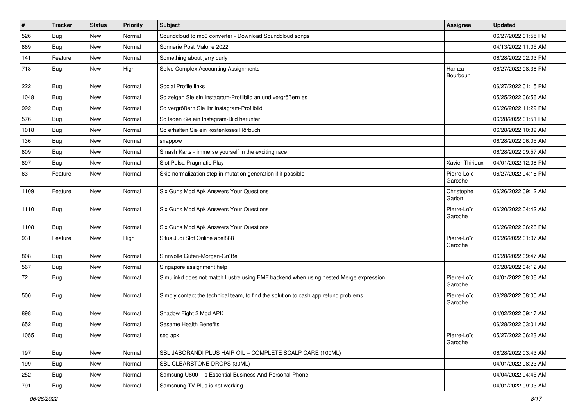| #    | <b>Tracker</b> | <b>Status</b> | <b>Priority</b> | <b>Subject</b>                                                                       | <b>Assignee</b>        | <b>Updated</b>      |
|------|----------------|---------------|-----------------|--------------------------------------------------------------------------------------|------------------------|---------------------|
| 526  | <b>Bug</b>     | New           | Normal          | Soundcloud to mp3 converter - Download Soundcloud songs                              |                        | 06/27/2022 01:55 PM |
| 869  | <b>Bug</b>     | New           | Normal          | Sonnerie Post Malone 2022                                                            |                        | 04/13/2022 11:05 AM |
| 141  | Feature        | New           | Normal          | Something about jerry curly                                                          |                        | 06/28/2022 02:03 PM |
| 718  | <b>Bug</b>     | New           | High            | Solve Complex Accounting Assignments                                                 | Hamza<br>Bourbouh      | 06/27/2022 08:38 PM |
| 222  | <b>Bug</b>     | New           | Normal          | Social Profile links                                                                 |                        | 06/27/2022 01:15 PM |
| 1048 | <b>Bug</b>     | New           | Normal          | So zeigen Sie ein Instagram-Profilbild an und vergrößern es                          |                        | 05/25/2022 06:56 AM |
| 992  | Bug            | New           | Normal          | So vergrößern Sie Ihr Instagram-Profilbild                                           |                        | 06/26/2022 11:29 PM |
| 576  | Bug            | New           | Normal          | So laden Sie ein Instagram-Bild herunter                                             |                        | 06/28/2022 01:51 PM |
| 1018 | <b>Bug</b>     | New           | Normal          | So erhalten Sie ein kostenloses Hörbuch                                              |                        | 06/28/2022 10:39 AM |
| 136  | Bug            | New           | Normal          | snappow                                                                              |                        | 06/28/2022 06:05 AM |
| 809  | <b>Bug</b>     | New           | Normal          | Smash Karts - immerse yourself in the exciting race                                  |                        | 06/28/2022 09:57 AM |
| 897  | <b>Bug</b>     | New           | Normal          | Slot Pulsa Pragmatic Play                                                            | Xavier Thirioux        | 04/01/2022 12:08 PM |
| 63   | Feature        | New           | Normal          | Skip normalization step in mutation generation if it possible                        | Pierre-Loïc<br>Garoche | 06/27/2022 04:16 PM |
| 1109 | Feature        | <b>New</b>    | Normal          | Six Guns Mod Apk Answers Your Questions                                              | Christophe<br>Garion   | 06/26/2022 09:12 AM |
| 1110 | Bug            | New           | Normal          | Six Guns Mod Apk Answers Your Questions                                              | Pierre-Loïc<br>Garoche | 06/20/2022 04:42 AM |
| 1108 | <b>Bug</b>     | New           | Normal          | Six Guns Mod Apk Answers Your Questions                                              |                        | 06/26/2022 06:26 PM |
| 931  | Feature        | New           | High            | Situs Judi Slot Online apel888                                                       | Pierre-Loïc<br>Garoche | 06/26/2022 01:07 AM |
| 808  | <b>Bug</b>     | New           | Normal          | Sinnvolle Guten-Morgen-Grüße                                                         |                        | 06/28/2022 09:47 AM |
| 567  | Bug            | New           | Normal          | Singapore assignment help                                                            |                        | 06/28/2022 04:12 AM |
| 72   | <b>Bug</b>     | New           | Normal          | Simulinkd does not match Lustre using EMF backend when using nested Merge expression | Pierre-Loïc<br>Garoche | 04/01/2022 08:06 AM |
| 500  | Bug            | New           | Normal          | Simply contact the technical team, to find the solution to cash app refund problems. | Pierre-Loïc<br>Garoche | 06/28/2022 08:00 AM |
| 898  | <b>Bug</b>     | New           | Normal          | Shadow Fight 2 Mod APK                                                               |                        | 04/02/2022 09:17 AM |
| 652  | <b>Bug</b>     | New           | Normal          | <b>Sesame Health Benefits</b>                                                        |                        | 06/28/2022 03:01 AM |
| 1055 | <b>Bug</b>     | New           | Normal          | seo apk                                                                              | Pierre-Loïc<br>Garoche | 05/27/2022 06:23 AM |
| 197  | Bug            | New           | Normal          | SBL JABORANDI PLUS HAIR OIL - COMPLETE SCALP CARE (100ML)                            |                        | 06/28/2022 03:43 AM |
| 199  | <b>Bug</b>     | New           | Normal          | SBL CLEARSTONE DROPS (30ML)                                                          |                        | 04/01/2022 08:23 AM |
| 252  | Bug            | New           | Normal          | Samsung U600 - Is Essential Business And Personal Phone                              |                        | 04/04/2022 04:45 AM |
| 791  | <b>Bug</b>     | New           | Normal          | Samsnung TV Plus is not working                                                      |                        | 04/01/2022 09:03 AM |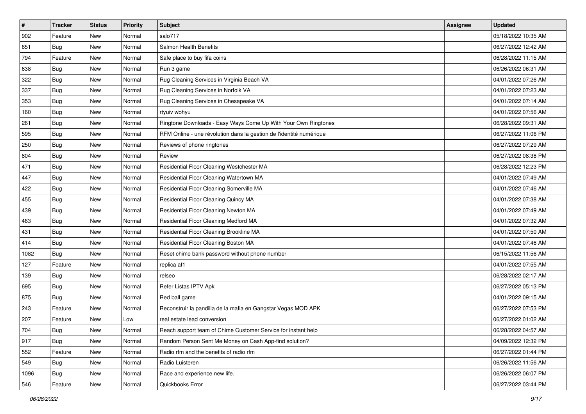| $\sharp$ | <b>Tracker</b> | <b>Status</b> | <b>Priority</b> | Subject                                                             | <b>Assignee</b> | <b>Updated</b>      |
|----------|----------------|---------------|-----------------|---------------------------------------------------------------------|-----------------|---------------------|
| 902      | Feature        | New           | Normal          | salo717                                                             |                 | 05/18/2022 10:35 AM |
| 651      | <b>Bug</b>     | New           | Normal          | Salmon Health Benefits                                              |                 | 06/27/2022 12:42 AM |
| 794      | Feature        | New           | Normal          | Safe place to buy fifa coins                                        |                 | 06/28/2022 11:15 AM |
| 638      | <b>Bug</b>     | New           | Normal          | Run 3 game                                                          |                 | 06/26/2022 06:31 AM |
| 322      | Bug            | New           | Normal          | Rug Cleaning Services in Virginia Beach VA                          |                 | 04/01/2022 07:26 AM |
| 337      | <b>Bug</b>     | New           | Normal          | Rug Cleaning Services in Norfolk VA                                 |                 | 04/01/2022 07:23 AM |
| 353      | Bug            | New           | Normal          | Rug Cleaning Services in Chesapeake VA                              |                 | 04/01/2022 07:14 AM |
| 160      | <b>Bug</b>     | New           | Normal          | rtyuiv wbhyu                                                        |                 | 04/01/2022 07:56 AM |
| 261      | <b>Bug</b>     | New           | Normal          | Ringtone Downloads - Easy Ways Come Up With Your Own Ringtones      |                 | 06/28/2022 09:31 AM |
| 595      | Bug            | <b>New</b>    | Normal          | RFM Online - une révolution dans la gestion de l'identité numérique |                 | 06/27/2022 11:06 PM |
| 250      | <b>Bug</b>     | New           | Normal          | Reviews of phone ringtones                                          |                 | 06/27/2022 07:29 AM |
| 804      | Bug            | New           | Normal          | Review                                                              |                 | 06/27/2022 08:38 PM |
| 471      | <b>Bug</b>     | New           | Normal          | Residential Floor Cleaning Westchester MA                           |                 | 06/28/2022 12:23 PM |
| 447      | <b>Bug</b>     | New           | Normal          | Residential Floor Cleaning Watertown MA                             |                 | 04/01/2022 07:49 AM |
| 422      | <b>Bug</b>     | <b>New</b>    | Normal          | Residential Floor Cleaning Somerville MA                            |                 | 04/01/2022 07:46 AM |
| 455      | Bug            | New           | Normal          | Residential Floor Cleaning Quincy MA                                |                 | 04/01/2022 07:38 AM |
| 439      | <b>Bug</b>     | New           | Normal          | Residential Floor Cleaning Newton MA                                |                 | 04/01/2022 07:49 AM |
| 463      | Bug            | New           | Normal          | Residential Floor Cleaning Medford MA                               |                 | 04/01/2022 07:32 AM |
| 431      | Bug            | New           | Normal          | Residential Floor Cleaning Brookline MA                             |                 | 04/01/2022 07:50 AM |
| 414      | Bug            | <b>New</b>    | Normal          | Residential Floor Cleaning Boston MA                                |                 | 04/01/2022 07:46 AM |
| 1082     | <b>Bug</b>     | New           | Normal          | Reset chime bank password without phone number                      |                 | 06/15/2022 11:56 AM |
| 127      | Feature        | New           | Normal          | replica af1                                                         |                 | 04/01/2022 07:55 AM |
| 139      | Bug            | New           | Normal          | relseo                                                              |                 | 06/28/2022 02:17 AM |
| 695      | <b>Bug</b>     | New           | Normal          | Refer Listas IPTV Apk                                               |                 | 06/27/2022 05:13 PM |
| 875      | Bug            | New           | Normal          | Red ball game                                                       |                 | 04/01/2022 09:15 AM |
| 243      | Feature        | New           | Normal          | Reconstruir la pandilla de la mafia en Gangstar Vegas MOD APK       |                 | 06/27/2022 07:53 PM |
| 207      | Feature        | New           | Low             | real estate lead conversion                                         |                 | 06/27/2022 01:02 AM |
| 704      | Bug            | New           | Normal          | Reach support team of Chime Customer Service for instant help       |                 | 06/28/2022 04:57 AM |
| 917      | <b>Bug</b>     | New           | Normal          | Random Person Sent Me Money on Cash App-find solution?              |                 | 04/09/2022 12:32 PM |
| 552      | Feature        | New           | Normal          | Radio rfm and the benefits of radio rfm                             |                 | 06/27/2022 01:44 PM |
| 549      | Bug            | New           | Normal          | Radio Luisteren                                                     |                 | 06/26/2022 11:56 AM |
| 1096     | <b>Bug</b>     | New           | Normal          | Race and experience new life.                                       |                 | 06/26/2022 06:07 PM |
| 546      | Feature        | New           | Normal          | Quickbooks Error                                                    |                 | 06/27/2022 03:44 PM |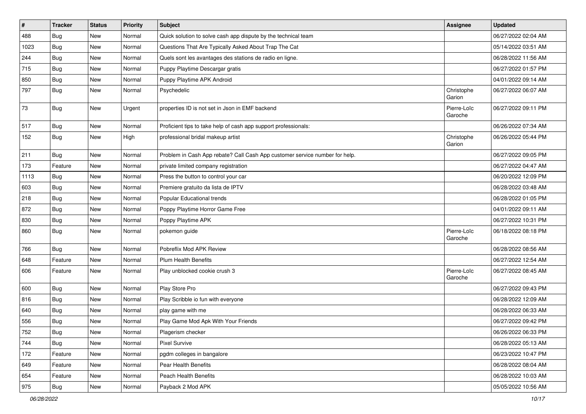| $\vert$ # | <b>Tracker</b> | <b>Status</b> | <b>Priority</b> | <b>Subject</b>                                                              | <b>Assignee</b>        | <b>Updated</b>      |
|-----------|----------------|---------------|-----------------|-----------------------------------------------------------------------------|------------------------|---------------------|
| 488       | <b>Bug</b>     | New           | Normal          | Quick solution to solve cash app dispute by the technical team              |                        | 06/27/2022 02:04 AM |
| 1023      | Bug            | New           | Normal          | Questions That Are Typically Asked About Trap The Cat                       |                        | 05/14/2022 03:51 AM |
| 244       | Bug            | New           | Normal          | Quels sont les avantages des stations de radio en ligne.                    |                        | 06/28/2022 11:56 AM |
| 715       | <b>Bug</b>     | New           | Normal          | Puppy Playtime Descargar gratis                                             |                        | 06/27/2022 01:57 PM |
| 850       | <b>Bug</b>     | New           | Normal          | Puppy Playtime APK Android                                                  |                        | 04/01/2022 09:14 AM |
| 797       | Bug            | New           | Normal          | Psychedelic                                                                 | Christophe<br>Garion   | 06/27/2022 06:07 AM |
| 73        | Bug            | New           | Urgent          | properties ID is not set in Json in EMF backend                             | Pierre-Loïc<br>Garoche | 06/27/2022 09:11 PM |
| 517       | <b>Bug</b>     | New           | Normal          | Proficient tips to take help of cash app support professionals:             |                        | 06/26/2022 07:34 AM |
| 152       | Bug            | New           | High            | professional bridal makeup artist                                           | Christophe<br>Garion   | 06/26/2022 05:44 PM |
| 211       | Bug            | New           | Normal          | Problem in Cash App rebate? Call Cash App customer service number for help. |                        | 06/27/2022 09:05 PM |
| 173       | Feature        | New           | Normal          | private limited company registration                                        |                        | 06/27/2022 04:47 AM |
| 1113      | <b>Bug</b>     | New           | Normal          | Press the button to control your car                                        |                        | 06/20/2022 12:09 PM |
| 603       | Bug            | New           | Normal          | Premiere gratuito da lista de IPTV                                          |                        | 06/28/2022 03:48 AM |
| 218       | <b>Bug</b>     | New           | Normal          | Popular Educational trends                                                  |                        | 06/28/2022 01:05 PM |
| 872       | <b>Bug</b>     | New           | Normal          | Poppy Playtime Horror Game Free                                             |                        | 04/01/2022 09:11 AM |
| 830       | Bug            | New           | Normal          | Poppy Playtime APK                                                          |                        | 06/27/2022 10:31 PM |
| 860       | <b>Bug</b>     | New           | Normal          | pokemon guide                                                               | Pierre-Loïc<br>Garoche | 06/18/2022 08:18 PM |
| 766       | Bug            | New           | Normal          | Pobreflix Mod APK Review                                                    |                        | 06/28/2022 08:56 AM |
| 648       | Feature        | New           | Normal          | <b>Plum Health Benefits</b>                                                 |                        | 06/27/2022 12:54 AM |
| 606       | Feature        | New           | Normal          | Play unblocked cookie crush 3                                               | Pierre-Loïc<br>Garoche | 06/27/2022 08:45 AM |
| 600       | Bug            | New           | Normal          | Play Store Pro                                                              |                        | 06/27/2022 09:43 PM |
| 816       | <b>Bug</b>     | New           | Normal          | Play Scribble io fun with everyone                                          |                        | 06/28/2022 12:09 AM |
| 640       | <b>Bug</b>     | New           | Normal          | play game with me                                                           |                        | 06/28/2022 06:33 AM |
| 556       | <b>Bug</b>     | New           | Normal          | Play Game Mod Apk With Your Friends                                         |                        | 06/27/2022 09:42 PM |
| 752       | Bug            | New           | Normal          | Plagerism checker                                                           |                        | 06/26/2022 06:33 PM |
| 744       | Bug            | New           | Normal          | <b>Pixel Survive</b>                                                        |                        | 06/28/2022 05:13 AM |
| 172       | Feature        | New           | Normal          | pgdm colleges in bangalore                                                  |                        | 06/23/2022 10:47 PM |
| 649       | Feature        | New           | Normal          | Pear Health Benefits                                                        |                        | 06/28/2022 08:04 AM |
| 654       | Feature        | New           | Normal          | Peach Health Benefits                                                       |                        | 06/28/2022 10:03 AM |
| 975       | Bug            | New           | Normal          | Payback 2 Mod APK                                                           |                        | 05/05/2022 10:56 AM |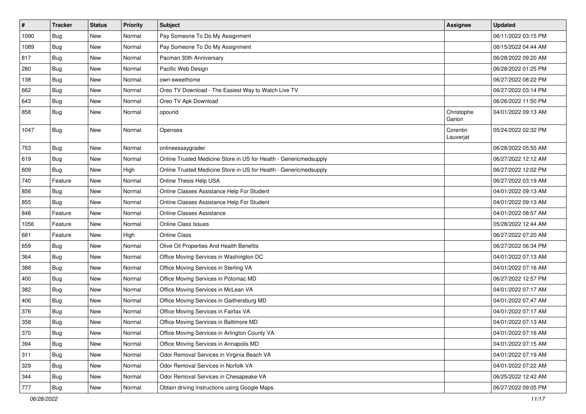| $\sharp$ | <b>Tracker</b> | <b>Status</b> | <b>Priority</b> | Subject                                                           | <b>Assignee</b>       | <b>Updated</b>      |
|----------|----------------|---------------|-----------------|-------------------------------------------------------------------|-----------------------|---------------------|
| 1090     | <b>Bug</b>     | New           | Normal          | Pay Someone To Do My Assignment                                   |                       | 06/11/2022 03:15 PM |
| 1089     | Bug            | <b>New</b>    | Normal          | Pay Someone To Do My Assignment                                   |                       | 06/15/2022 04:44 AM |
| 817      | Bug            | New           | Normal          | Pacman 30th Anniversary                                           |                       | 06/28/2022 09:20 AM |
| 280      | <b>Bug</b>     | <b>New</b>    | Normal          | Pacific Web Design                                                |                       | 06/28/2022 01:25 PM |
| 138      | Bug            | New           | Normal          | own-sweethome                                                     |                       | 06/27/2022 08:22 PM |
| 662      | <b>Bug</b>     | New           | Normal          | Oreo TV Download - The Easiest Way to Watch Live TV               |                       | 06/27/2022 03:14 PM |
| 643      | Bug            | <b>New</b>    | Normal          | Oreo TV Apk Download                                              |                       | 06/26/2022 11:50 PM |
| 858      | Bug            | New           | Normal          | opourid                                                           | Christophe<br>Garion  | 04/01/2022 09:13 AM |
| 1047     | <b>Bug</b>     | <b>New</b>    | Normal          | Opensea                                                           | Corentin<br>Lauverjat | 05/24/2022 02:32 PM |
| 753      | Bug            | <b>New</b>    | Normal          | onlineessaygrader                                                 |                       | 06/28/2022 05:55 AM |
| 619      | Bug            | <b>New</b>    | Normal          | Online Trusted Medicine Store in US for Health - Genericmedsupply |                       | 06/27/2022 12:12 AM |
| 609      | <b>Bug</b>     | New           | High            | Online Trusted Medicine Store in US for Health - Genericmedsupply |                       | 06/27/2022 12:02 PM |
| 740      | Feature        | New           | Normal          | Online Thesis Help USA                                            |                       | 06/27/2022 03:19 AM |
| 856      | <b>Bug</b>     | New           | Normal          | Online Classes Assistance Help For Student                        |                       | 04/01/2022 09:13 AM |
| 855      | Bug            | New           | Normal          | Online Classes Assistance Help For Student                        |                       | 04/01/2022 09:13 AM |
| 848      | Feature        | New           | Normal          | <b>Online Classes Assistance</b>                                  |                       | 04/01/2022 08:57 AM |
| 1056     | Feature        | New           | Normal          | <b>Online Class Issues</b>                                        |                       | 05/28/2022 12:44 AM |
| 681      | Feature        | New           | High            | Online Class                                                      |                       | 06/27/2022 07:20 AM |
| 659      | Bug            | New           | Normal          | Olive Oil Properties And Health Benefits                          |                       | 06/27/2022 06:34 PM |
| 364      | <b>Bug</b>     | New           | Normal          | Office Moving Services in Washington DC                           |                       | 04/01/2022 07:13 AM |
| 388      | <b>Bug</b>     | <b>New</b>    | Normal          | Office Moving Services in Sterling VA                             |                       | 04/01/2022 07:16 AM |
| 400      | <b>Bug</b>     | New           | Normal          | Office Moving Services in Potomac MD                              |                       | 06/27/2022 12:57 PM |
| 382      | <b>Bug</b>     | New           | Normal          | Office Moving Services in McLean VA                               |                       | 04/01/2022 07:17 AM |
| 406      | Bug            | <b>New</b>    | Normal          | Office Moving Services in Gaithersburg MD                         |                       | 04/01/2022 07:47 AM |
| 376      | <b>Bug</b>     | New           | Normal          | Office Moving Services in Fairfax VA                              |                       | 04/01/2022 07:17 AM |
| 358      | <b>Bug</b>     | <b>New</b>    | Normal          | Office Moving Services in Baltimore MD                            |                       | 04/01/2022 07:13 AM |
| 370      | Bug            | New           | Normal          | Office Moving Services in Arlington County VA                     |                       | 04/01/2022 07:16 AM |
| 394      | Bug            | New           | Normal          | Office Moving Services in Annapolis MD                            |                       | 04/01/2022 07:15 AM |
| 311      | Bug            | New           | Normal          | Odor Removal Services in Virginia Beach VA                        |                       | 04/01/2022 07:19 AM |
| 329      | <b>Bug</b>     | New           | Normal          | Odor Removal Services in Norfolk VA                               |                       | 04/01/2022 07:22 AM |
| 344      | <b>Bug</b>     | New           | Normal          | Odor Removal Services in Chesapeake VA                            |                       | 06/25/2022 12:42 AM |
| 777      | <b>Bug</b>     | New           | Normal          | Obtain driving instructions using Google Maps.                    |                       | 06/27/2022 09:05 PM |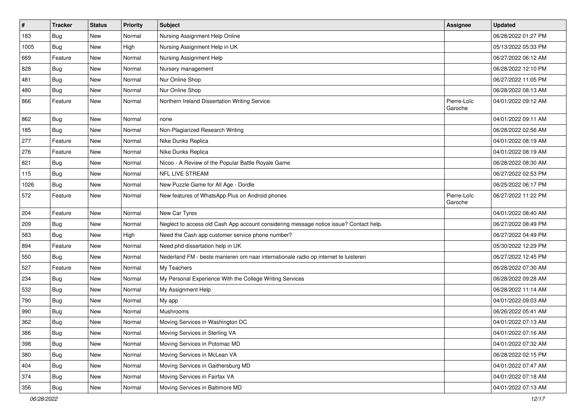| $\sharp$ | <b>Tracker</b> | <b>Status</b> | <b>Priority</b> | Subject                                                                                | <b>Assignee</b>        | <b>Updated</b>      |
|----------|----------------|---------------|-----------------|----------------------------------------------------------------------------------------|------------------------|---------------------|
| 183      | <b>Bug</b>     | New           | Normal          | Nursing Assignment Help Online                                                         |                        | 06/28/2022 01:27 PM |
| 1005     | <b>Bug</b>     | <b>New</b>    | High            | Nursing Assignment Help in UK                                                          |                        | 05/13/2022 05:33 PM |
| 669      | Feature        | New           | Normal          | Nursing Assignment Help                                                                |                        | 06/27/2022 06:12 AM |
| 828      | Bug            | New           | Normal          | Nursery management                                                                     |                        | 06/28/2022 12:10 PM |
| 481      | Bug            | <b>New</b>    | Normal          | Nur Online Shop                                                                        |                        | 06/27/2022 11:05 PM |
| 480      | <b>Bug</b>     | New           | Normal          | Nur Online Shop                                                                        |                        | 06/28/2022 08:13 AM |
| 866      | Feature        | New           | Normal          | Northern Ireland Dissertation Writing Service                                          | Pierre-Loïc<br>Garoche | 04/01/2022 09:12 AM |
| 862      | Bug            | New           | Normal          | none                                                                                   |                        | 04/01/2022 09:11 AM |
| 185      | <b>Bug</b>     | <b>New</b>    | Normal          | Non-Plagiarized Research Writing                                                       |                        | 06/28/2022 02:56 AM |
| 277      | Feature        | New           | Normal          | Nike Dunks Replica                                                                     |                        | 04/01/2022 08:19 AM |
| 276      | Feature        | New           | Normal          | Nike Dunks Replica                                                                     |                        | 04/01/2022 08:19 AM |
| 821      | <b>Bug</b>     | New           | Normal          | Nicoo - A Review of the Popular Battle Royale Game                                     |                        | 06/28/2022 08:30 AM |
| 115      | Bug            | New           | Normal          | NFL LIVE STREAM                                                                        |                        | 06/27/2022 02:53 PM |
| 1026     | <b>Bug</b>     | <b>New</b>    | Normal          | New Puzzle Game for All Age - Dordle                                                   |                        | 06/25/2022 06:17 PM |
| 572      | Feature        | New           | Normal          | New features of WhatsApp Plus on Android phones                                        | Pierre-Loïc<br>Garoche | 06/27/2022 11:22 PM |
| 204      | Feature        | New           | Normal          | New Car Tyres                                                                          |                        | 04/01/2022 08:40 AM |
| 209      | <b>Bug</b>     | New           | Normal          | Neglect to access old Cash App account considering message notice issue? Contact help. |                        | 06/27/2022 08:49 PM |
| 583      | <b>Bug</b>     | <b>New</b>    | High            | Need the Cash app customer service phone number?                                       |                        | 06/27/2022 04:49 PM |
| 894      | Feature        | New           | Normal          | Need phd dissertation help in UK                                                       |                        | 05/30/2022 12:29 PM |
| 550      | Bug            | New           | Normal          | Nederland FM - beste manieren om naar internationale radio op internet te luisteren    |                        | 06/27/2022 12:45 PM |
| 527      | Feature        | <b>New</b>    | Normal          | My Teachers                                                                            |                        | 06/28/2022 07:30 AM |
| 234      | <b>Bug</b>     | New           | Normal          | My Personal Experience With the College Writing Services                               |                        | 06/28/2022 09:28 AM |
| 532      | Bug            | New           | Normal          | My Assignment Help                                                                     |                        | 06/28/2022 11:14 AM |
| 790      | Bug            | <b>New</b>    | Normal          | My app                                                                                 |                        | 04/01/2022 09:03 AM |
| 990      | Bug            | New           | Normal          | Mushrooms                                                                              |                        | 06/26/2022 05:41 AM |
| 362      | <b>Bug</b>     | <b>New</b>    | Normal          | Moving Services in Washington DC                                                       |                        | 04/01/2022 07:13 AM |
| 386      | <b>Bug</b>     | New           | Normal          | Moving Services in Sterling VA                                                         |                        | 04/01/2022 07:16 AM |
| 398      | <b>Bug</b>     | New           | Normal          | Moving Services in Potomac MD                                                          |                        | 04/01/2022 07:32 AM |
| 380      | <b>Bug</b>     | New           | Normal          | Moving Services in McLean VA                                                           |                        | 06/28/2022 02:15 PM |
| 404      | <b>Bug</b>     | New           | Normal          | Moving Services in Gaithersburg MD                                                     |                        | 04/01/2022 07:47 AM |
| 374      | <b>Bug</b>     | New           | Normal          | Moving Services in Fairfax VA                                                          |                        | 04/01/2022 07:18 AM |
| 356      | Bug            | New           | Normal          | Moving Services in Baltimore MD                                                        |                        | 04/01/2022 07:13 AM |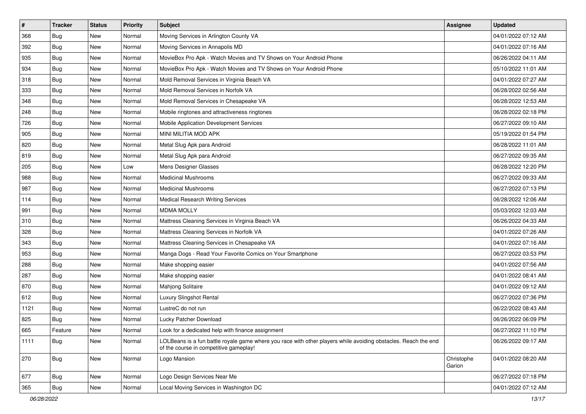| $\sharp$ | <b>Tracker</b> | <b>Status</b> | <b>Priority</b> | Subject                                                                                                                                                  | <b>Assignee</b>      | <b>Updated</b>      |
|----------|----------------|---------------|-----------------|----------------------------------------------------------------------------------------------------------------------------------------------------------|----------------------|---------------------|
| 368      | <b>Bug</b>     | New           | Normal          | Moving Services in Arlington County VA                                                                                                                   |                      | 04/01/2022 07:12 AM |
| 392      | <b>Bug</b>     | New           | Normal          | Moving Services in Annapolis MD                                                                                                                          |                      | 04/01/2022 07:16 AM |
| 935      | Bug            | New           | Normal          | MovieBox Pro Apk - Watch Movies and TV Shows on Your Android Phone                                                                                       |                      | 06/26/2022 04:11 AM |
| 934      | <b>Bug</b>     | New           | Normal          | MovieBox Pro Apk - Watch Movies and TV Shows on Your Android Phone                                                                                       |                      | 05/10/2022 11:01 AM |
| 318      | Bug            | New           | Normal          | Mold Removal Services in Virginia Beach VA                                                                                                               |                      | 04/01/2022 07:27 AM |
| 333      | <b>Bug</b>     | New           | Normal          | Mold Removal Services in Norfolk VA                                                                                                                      |                      | 06/28/2022 02:56 AM |
| 348      | Bug            | New           | Normal          | Mold Removal Services in Chesapeake VA                                                                                                                   |                      | 06/28/2022 12:53 AM |
| 248      | <b>Bug</b>     | New           | Normal          | Mobile ringtones and attractiveness ringtones                                                                                                            |                      | 06/28/2022 02:18 PM |
| 726      | <b>Bug</b>     | New           | Normal          | Mobile Application Development Services                                                                                                                  |                      | 06/27/2022 09:10 AM |
| 905      | Bug            | New           | Normal          | MINI MILITIA MOD APK                                                                                                                                     |                      | 05/19/2022 01:54 PM |
| 820      | <b>Bug</b>     | New           | Normal          | Metal Slug Apk para Android                                                                                                                              |                      | 06/28/2022 11:01 AM |
| 819      | Bug            | New           | Normal          | Metal Slug Apk para Android                                                                                                                              |                      | 06/27/2022 09:35 AM |
| 205      | Bug            | New           | Low             | Mens Designer Glasses                                                                                                                                    |                      | 06/28/2022 12:20 PM |
| 988      | <b>Bug</b>     | New           | Normal          | <b>Medicinal Mushrooms</b>                                                                                                                               |                      | 06/27/2022 09:33 AM |
| 987      | Bug            | <b>New</b>    | Normal          | <b>Medicinal Mushrooms</b>                                                                                                                               |                      | 06/27/2022 07:13 PM |
| 114      | Bug            | New           | Normal          | Medical Research Writing Services                                                                                                                        |                      | 06/28/2022 12:06 AM |
| 991      | <b>Bug</b>     | New           | Normal          | <b>MDMA MOLLY</b>                                                                                                                                        |                      | 05/03/2022 12:03 AM |
| 310      | Bug            | New           | Normal          | Mattress Cleaning Services in Virginia Beach VA                                                                                                          |                      | 06/26/2022 04:33 AM |
| 328      | <b>Bug</b>     | New           | Normal          | Mattress Cleaning Services in Norfolk VA                                                                                                                 |                      | 04/01/2022 07:26 AM |
| 343      | Bug            | <b>New</b>    | Normal          | Mattress Cleaning Services in Chesapeake VA                                                                                                              |                      | 04/01/2022 07:16 AM |
| 953      | <b>Bug</b>     | New           | Normal          | Manga Dogs - Read Your Favorite Comics on Your Smartphone                                                                                                |                      | 06/27/2022 03:53 PM |
| 288      | <b>Bug</b>     | New           | Normal          | Make shopping easier                                                                                                                                     |                      | 04/01/2022 07:56 AM |
| 287      | Bug            | New           | Normal          | Make shopping easier                                                                                                                                     |                      | 04/01/2022 08:41 AM |
| 870      | <b>Bug</b>     | New           | Normal          | Mahjong Solitaire                                                                                                                                        |                      | 04/01/2022 09:12 AM |
| 612      | Bug            | New           | Normal          | Luxury Slingshot Rental                                                                                                                                  |                      | 06/27/2022 07:36 PM |
| 1121     | <b>Bug</b>     | New           | Normal          | LustreC do not run                                                                                                                                       |                      | 06/22/2022 08:43 AM |
| 825      | <b>Bug</b>     | New           | Normal          | Lucky Patcher Download                                                                                                                                   |                      | 06/26/2022 06:09 PM |
| 665      | Feature        | New           | Normal          | Look for a dedicated help with finance assignment                                                                                                        |                      | 06/27/2022 11:10 PM |
| 1111     | Bug            | New           | Normal          | LOLBeans is a fun battle royale game where you race with other players while avoiding obstacles. Reach the end<br>of the course in competitive gameplay! |                      | 06/26/2022 09:17 AM |
| 270      | <b>Bug</b>     | New           | Normal          | Logo Mansion                                                                                                                                             | Christophe<br>Garion | 04/01/2022 08:20 AM |
| 677      | <b>Bug</b>     | New           | Normal          | Logo Design Services Near Me                                                                                                                             |                      | 06/27/2022 07:18 PM |
| 365      | Bug            | New           | Normal          | Local Moving Services in Washington DC                                                                                                                   |                      | 04/01/2022 07:12 AM |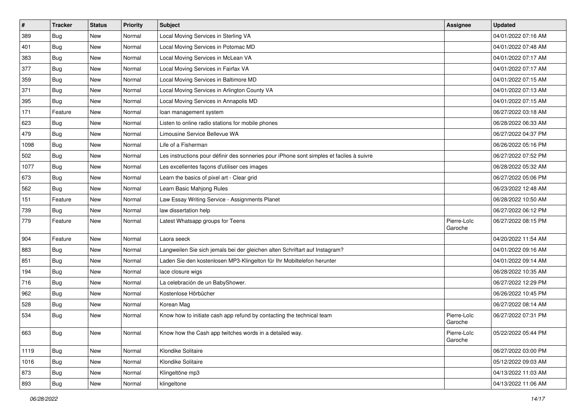| $\sharp$ | <b>Tracker</b> | <b>Status</b> | <b>Priority</b> | Subject                                                                                  | <b>Assignee</b>        | <b>Updated</b>      |
|----------|----------------|---------------|-----------------|------------------------------------------------------------------------------------------|------------------------|---------------------|
| 389      | <b>Bug</b>     | New           | Normal          | Local Moving Services in Sterling VA                                                     |                        | 04/01/2022 07:16 AM |
| 401      | Bug            | <b>New</b>    | Normal          | Local Moving Services in Potomac MD                                                      |                        | 04/01/2022 07:48 AM |
| 383      | <b>Bug</b>     | New           | Normal          | Local Moving Services in McLean VA                                                       |                        | 04/01/2022 07:17 AM |
| 377      | <b>Bug</b>     | New           | Normal          | Local Moving Services in Fairfax VA                                                      |                        | 04/01/2022 07:17 AM |
| 359      | <b>Bug</b>     | New           | Normal          | Local Moving Services in Baltimore MD                                                    |                        | 04/01/2022 07:15 AM |
| 371      | <b>Bug</b>     | New           | Normal          | Local Moving Services in Arlington County VA                                             |                        | 04/01/2022 07:13 AM |
| 395      | <b>Bug</b>     | <b>New</b>    | Normal          | Local Moving Services in Annapolis MD                                                    |                        | 04/01/2022 07:15 AM |
| 171      | Feature        | New           | Normal          | loan management system                                                                   |                        | 06/27/2022 03:18 AM |
| 623      | <b>Bug</b>     | New           | Normal          | Listen to online radio stations for mobile phones                                        |                        | 06/28/2022 06:33 AM |
| 479      | Bug            | <b>New</b>    | Normal          | Limousine Service Bellevue WA                                                            |                        | 06/27/2022 04:37 PM |
| 1098     | <b>Bug</b>     | New           | Normal          | Life of a Fisherman                                                                      |                        | 06/26/2022 05:16 PM |
| 502      | <b>Bug</b>     | New           | Normal          | Les instructions pour définir des sonneries pour iPhone sont simples et faciles à suivre |                        | 06/27/2022 07:52 PM |
| 1077     | <b>Bug</b>     | New           | Normal          | Les excellentes façons d'utiliser ces images                                             |                        | 06/28/2022 05:32 AM |
| 673      | <b>Bug</b>     | New           | Normal          | Learn the basics of pixel art - Clear grid                                               |                        | 06/27/2022 05:06 PM |
| 562      | <b>Bug</b>     | New           | Normal          | Learn Basic Mahjong Rules                                                                |                        | 06/23/2022 12:48 AM |
| 151      | Feature        | New           | Normal          | Law Essay Writing Service - Assignments Planet                                           |                        | 06/28/2022 10:50 AM |
| 739      | Bug            | New           | Normal          | law dissertation help                                                                    |                        | 06/27/2022 06:12 PM |
| 779      | Feature        | <b>New</b>    | Normal          | Latest Whatsapp groups for Teens                                                         | Pierre-Loïc<br>Garoche | 06/27/2022 08:15 PM |
| 904      | Feature        | <b>New</b>    | Normal          | Laora seeck                                                                              |                        | 04/20/2022 11:54 AM |
| 883      | <b>Bug</b>     | New           | Normal          | Langweilen Sie sich jemals bei der gleichen alten Schriftart auf Instagram?              |                        | 04/01/2022 09:16 AM |
| 851      | <b>Bug</b>     | New           | Normal          | Laden Sie den kostenlosen MP3-Klingelton für Ihr Mobiltelefon herunter                   |                        | 04/01/2022 09:14 AM |
| 194      | <b>Bug</b>     | New           | Normal          | lace closure wigs                                                                        |                        | 06/28/2022 10:35 AM |
| 716      | <b>Bug</b>     | New           | Normal          | La celebración de un BabyShower.                                                         |                        | 06/27/2022 12:29 PM |
| 962      | <b>Bug</b>     | New           | Normal          | Kostenlose Hörbücher                                                                     |                        | 06/26/2022 10:45 PM |
| 528      | <b>Bug</b>     | New           | Normal          | Korean Mag                                                                               |                        | 06/27/2022 08:14 AM |
| 534      | <b>Bug</b>     | New           | Normal          | Know how to initiate cash app refund by contacting the technical team                    | Pierre-Loïc<br>Garoche | 06/27/2022 07:31 PM |
| 663      | Bug            | New           | Normal          | Know how the Cash app twitches words in a detailed way.                                  | Pierre-Loïc<br>Garoche | 05/22/2022 05:44 PM |
| 1119     | <b>Bug</b>     | New           | Normal          | Klondike Solitaire                                                                       |                        | 06/27/2022 03:00 PM |
| 1016     | <b>Bug</b>     | New           | Normal          | Klondike Solitaire                                                                       |                        | 05/12/2022 09:03 AM |
| 873      | <b>Bug</b>     | New           | Normal          | Klingeltöne mp3                                                                          |                        | 04/13/2022 11:03 AM |
| 893      | <b>Bug</b>     | New           | Normal          | klingeltone                                                                              |                        | 04/13/2022 11:06 AM |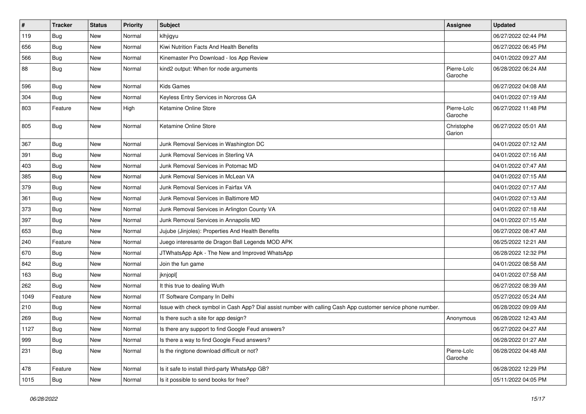| $\vert$ # | <b>Tracker</b> | <b>Status</b> | <b>Priority</b> | Subject                                                                                                      | <b>Assignee</b>        | <b>Updated</b>      |
|-----------|----------------|---------------|-----------------|--------------------------------------------------------------------------------------------------------------|------------------------|---------------------|
| 119       | Bug            | New           | Normal          | klhjigyu                                                                                                     |                        | 06/27/2022 02:44 PM |
| 656       | <b>Bug</b>     | <b>New</b>    | Normal          | Kiwi Nutrition Facts And Health Benefits                                                                     |                        | 06/27/2022 06:45 PM |
| 566       | <b>Bug</b>     | New           | Normal          | Kinemaster Pro Download - los App Review                                                                     |                        | 04/01/2022 09:27 AM |
| 88        | <b>Bug</b>     | New           | Normal          | kind2 output: When for node arguments                                                                        | Pierre-Loïc<br>Garoche | 06/28/2022 06:24 AM |
| 596       | <b>Bug</b>     | New           | Normal          | <b>Kids Games</b>                                                                                            |                        | 06/27/2022 04:08 AM |
| 304       | Bug            | New           | Normal          | Keyless Entry Services in Norcross GA                                                                        |                        | 04/01/2022 07:19 AM |
| 803       | Feature        | New           | High            | Ketamine Online Store                                                                                        | Pierre-Loïc<br>Garoche | 06/27/2022 11:48 PM |
| 805       | Bug            | New           | Normal          | Ketamine Online Store                                                                                        | Christophe<br>Garion   | 06/27/2022 05:01 AM |
| 367       | <b>Bug</b>     | New           | Normal          | Junk Removal Services in Washington DC                                                                       |                        | 04/01/2022 07:12 AM |
| 391       | Bug            | New           | Normal          | Junk Removal Services in Sterling VA                                                                         |                        | 04/01/2022 07:16 AM |
| 403       | Bug            | New           | Normal          | Junk Removal Services in Potomac MD                                                                          |                        | 04/01/2022 07:47 AM |
| 385       | <b>Bug</b>     | New           | Normal          | Junk Removal Services in McLean VA                                                                           |                        | 04/01/2022 07:15 AM |
| 379       | <b>Bug</b>     | New           | Normal          | Junk Removal Services in Fairfax VA                                                                          |                        | 04/01/2022 07:17 AM |
| 361       | <b>Bug</b>     | New           | Normal          | Junk Removal Services in Baltimore MD                                                                        |                        | 04/01/2022 07:13 AM |
| 373       | Bug            | New           | Normal          | Junk Removal Services in Arlington County VA                                                                 |                        | 04/01/2022 07:18 AM |
| 397       | <b>Bug</b>     | New           | Normal          | Junk Removal Services in Annapolis MD                                                                        |                        | 04/01/2022 07:15 AM |
| 653       | <b>Bug</b>     | New           | Normal          | Jujube (Jinjoles): Properties And Health Benefits                                                            |                        | 06/27/2022 08:47 AM |
| 240       | Feature        | <b>New</b>    | Normal          | Juego interesante de Dragon Ball Legends MOD APK                                                             |                        | 06/25/2022 12:21 AM |
| 670       | <b>Bug</b>     | New           | Normal          | JTWhatsApp Apk - The New and Improved WhatsApp                                                               |                        | 06/28/2022 12:32 PM |
| 842       | <b>Bug</b>     | New           | Normal          | Join the fun game                                                                                            |                        | 04/01/2022 08:58 AM |
| 163       | Bug            | New           | Normal          | jknjopl[                                                                                                     |                        | 04/01/2022 07:58 AM |
| 262       | Bug            | New           | Normal          | It this true to dealing Wuth                                                                                 |                        | 06/27/2022 08:39 AM |
| 1049      | Feature        | New           | Normal          | IT Software Company In Delhi                                                                                 |                        | 05/27/2022 05:24 AM |
| 210       | <b>Bug</b>     | New           | Normal          | Issue with check symbol in Cash App? Dial assist number with calling Cash App customer service phone number. |                        | 06/28/2022 09:09 AM |
| 269       | <b>Bug</b>     | New           | Normal          | Is there such a site for app design?                                                                         | Anonymous              | 06/28/2022 12:43 AM |
| 1127      | <b>Bug</b>     | New           | Normal          | Is there any support to find Google Feud answers?                                                            |                        | 06/27/2022 04:27 AM |
| 999       | <b>Bug</b>     | New           | Normal          | Is there a way to find Google Feud answers?                                                                  |                        | 06/28/2022 01:27 AM |
| 231       | <b>Bug</b>     | New           | Normal          | Is the ringtone download difficult or not?                                                                   | Pierre-Loïc<br>Garoche | 06/28/2022 04:48 AM |
| 478       | Feature        | New           | Normal          | Is it safe to install third-party WhatsApp GB?                                                               |                        | 06/28/2022 12:29 PM |
| 1015      | <b>Bug</b>     | New           | Normal          | Is it possible to send books for free?                                                                       |                        | 05/11/2022 04:05 PM |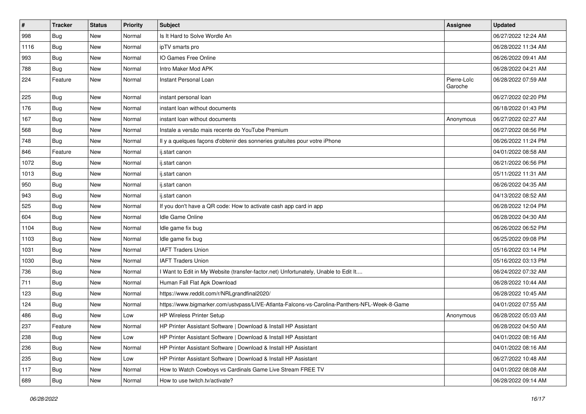| $\vert$ # | <b>Tracker</b> | <b>Status</b> | <b>Priority</b> | Subject                                                                                      | <b>Assignee</b>        | <b>Updated</b>      |
|-----------|----------------|---------------|-----------------|----------------------------------------------------------------------------------------------|------------------------|---------------------|
| 998       | Bug            | New           | Normal          | Is It Hard to Solve Wordle An                                                                |                        | 06/27/2022 12:24 AM |
| 1116      | <b>Bug</b>     | <b>New</b>    | Normal          | ipTV smarts pro                                                                              |                        | 06/28/2022 11:34 AM |
| 993       | Bug            | New           | Normal          | IO Games Free Online                                                                         |                        | 06/26/2022 09:41 AM |
| 788       | Bug            | New           | Normal          | Intro Maker Mod APK                                                                          |                        | 06/28/2022 04:21 AM |
| 224       | Feature        | New           | Normal          | Instant Personal Loan                                                                        | Pierre-Loïc<br>Garoche | 06/28/2022 07:59 AM |
| 225       | <b>Bug</b>     | New           | Normal          | instant personal loan                                                                        |                        | 06/27/2022 02:20 PM |
| 176       | Bug            | New           | Normal          | instant loan without documents                                                               |                        | 06/18/2022 01:43 PM |
| 167       | <b>Bug</b>     | <b>New</b>    | Normal          | instant loan without documents                                                               | Anonymous              | 06/27/2022 02:27 AM |
| 568       | <b>Bug</b>     | New           | Normal          | Instale a versão mais recente do YouTube Premium                                             |                        | 06/27/2022 08:56 PM |
| 748       | Bug            | New           | Normal          | Il y a quelques façons d'obtenir des sonneries gratuites pour votre iPhone                   |                        | 06/26/2022 11:24 PM |
| 846       | Feature        | New           | Normal          | ij.start canon                                                                               |                        | 04/01/2022 08:58 AM |
| 1072      | <b>Bug</b>     | New           | Normal          | ij.start canon                                                                               |                        | 06/21/2022 06:56 PM |
| 1013      | <b>Bug</b>     | New           | Normal          | ij.start canon                                                                               |                        | 05/11/2022 11:31 AM |
| 950       | Bug            | New           | Normal          | ij.start canon                                                                               |                        | 06/26/2022 04:35 AM |
| 943       | Bug            | New           | Normal          | ij.start canon                                                                               |                        | 04/13/2022 08:52 AM |
| 525       | <b>Bug</b>     | New           | Normal          | If you don't have a QR code: How to activate cash app card in app                            |                        | 06/28/2022 12:04 PM |
| 604       | Bug            | <b>New</b>    | Normal          | Idle Game Online                                                                             |                        | 06/28/2022 04:30 AM |
| 1104      | <b>Bug</b>     | New           | Normal          | Idle game fix bug                                                                            |                        | 06/26/2022 06:52 PM |
| 1103      | <b>Bug</b>     | New           | Normal          | Idle game fix bug                                                                            |                        | 06/25/2022 09:08 PM |
| 1031      | Bug            | New           | Normal          | <b>IAFT Traders Union</b>                                                                    |                        | 05/16/2022 03:14 PM |
| 1030      | <b>Bug</b>     | <b>New</b>    | Normal          | <b>IAFT Traders Union</b>                                                                    |                        | 05/16/2022 03:13 PM |
| 736       | <b>Bug</b>     | New           | Normal          | I Want to Edit in My Website (transfer-factor.net) Unfortunately, Unable to Edit It          |                        | 06/24/2022 07:32 AM |
| 711       | <b>Bug</b>     | New           | Normal          | Human Fall Flat Apk Download                                                                 |                        | 06/28/2022 10:44 AM |
| 123       | Bug            | New           | Normal          | https://www.reddit.com/r/NRLgrandfinal2020/                                                  |                        | 06/28/2022 10:45 AM |
| 124       | <b>Bug</b>     | New           | Normal          | https://www.bigmarker.com/ustvpass/LIVE-Atlanta-Falcons-vs-Carolina-Panthers-NFL-Week-8-Game |                        | 04/01/2022 07:55 AM |
| 486       | <b>Bug</b>     | New           | Low             | <b>HP Wireless Printer Setup</b>                                                             | Anonymous              | 06/28/2022 05:03 AM |
| 237       | Feature        | New           | Normal          | HP Printer Assistant Software   Download & Install HP Assistant                              |                        | 06/28/2022 04:50 AM |
| 238       | Bug            | New           | Low             | HP Printer Assistant Software   Download & Install HP Assistant                              |                        | 04/01/2022 08:16 AM |
| 236       | <b>Bug</b>     | New           | Normal          | HP Printer Assistant Software   Download & Install HP Assistant                              |                        | 04/01/2022 08:16 AM |
| 235       | Bug            | New           | Low             | HP Printer Assistant Software   Download & Install HP Assistant                              |                        | 06/27/2022 10:48 AM |
| 117       | Bug            | New           | Normal          | How to Watch Cowboys vs Cardinals Game Live Stream FREE TV                                   |                        | 04/01/2022 08:08 AM |
| 689       | <b>Bug</b>     | New           | Normal          | How to use twitch.tv/activate?                                                               |                        | 06/28/2022 09:14 AM |